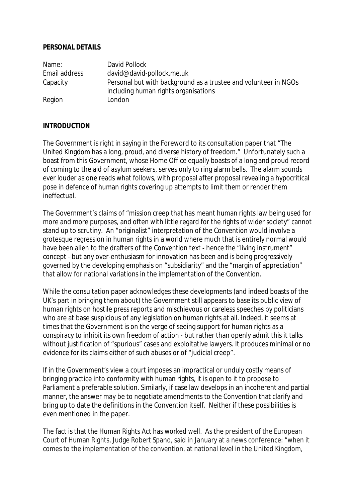## **PERSONAL DETAILS**

| Name:         | David Pollock                                                   |
|---------------|-----------------------------------------------------------------|
| Email address | david@david-pollock.me.uk                                       |
| Capacity      | Personal but with background as a trustee and volunteer in NGOs |
|               | including human rights organisations                            |
| Region        | London                                                          |

## **INTRODUCTION**

The Government is right in saying in the Foreword to its consultation paper that "The United Kingdom has a long, proud, and diverse history of freedom." Unfortunately such a boast from this Government, whose Home Office equally boasts of a long and proud record of coming to the aid of asylum seekers, serves only to ring alarm bells. The alarm sounds ever louder as one reads what follows, with proposal after proposal revealing a hypocritical pose in defence of human rights covering up attempts to limit them or render them ineffectual.

The Government's claims of "mission creep that has meant human rights law being used for more and more purposes, and often with little regard for the rights of wider society" cannot stand up to scrutiny. An "originalist" interpretation of the Convention would involve a grotesque regression in human rights in a world where much that is entirely normal would have been alien to the drafters of the Convention text - hence the "living instrument" concept - but any over-enthusiasm for innovation has been and is being progressively governed by the developing emphasis on "subsidiarity" and the "margin of appreciation" that allow for national variations in the implementation of the Convention.

While the consultation paper acknowledges these developments (and indeed boasts of the UK's part in bringing them about) the Government still appears to base its public view of human rights on hostile press reports and mischievous or careless speeches by politicians who are at base suspicious of any legislation on human rights at all. Indeed, it seems at times that the Government is on the verge of seeing support for human rights as a conspiracy to inhibit its own freedom of action - but rather than openly admit this it talks without justification of "spurious" cases and exploitative lawyers. It produces minimal or no evidence for its claims either of such abuses or of "judicial creep".

If in the Government's view a court imposes an impractical or unduly costly means of bringing practice into conformity with human rights, it is open to it to propose to Parliament a preferable solution. Similarly, if case law develops in an incoherent and partial manner, the answer may be to negotiate amendments to the Convention that clarify and bring up to date the definitions in the Convention itself. Neither if these possibilities is even mentioned in the paper.

The fact is that the Human Rights Act has worked well. As the president of the European Court of Human Rights, Judge Robert Spano, said in January at a news conference: "when it comes to the implementation of the convention, at national level in the United Kingdom,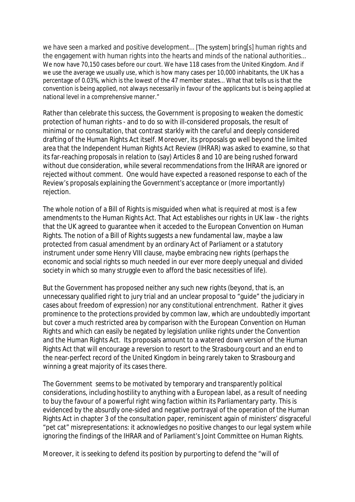we have seen a marked and positive development... [The system] bring[s] human rights and the engagement with human rights into the hearts and minds of the national authorities... We now have 70,150 cases before our court. We have 118 cases from the United Kingdom. And if we use the average we usually use, which is how many cases per 10,000 inhabitants, the UK has a percentage of 0.03%, which is the lowest of the 47 member states... What that tells us is that the convention is being applied, not always necessarily in favour of the applicants but is being applied at national level in a comprehensive manner."

Rather than celebrate this success, the Government is proposing to weaken the domestic protection of human rights - and to do so with ill-considered proposals, the result of minimal or no consultation, that contrast starkly with the careful and deeply considered drafting of the Human Rights Act itself. Moreover, its proposals go well beyond the limited area that the Independent Human Rights Act Review (IHRAR) was asked to examine, so that its far-reaching proposals in relation to (say) Articles 8 and 10 are being rushed forward without due consideration, while several recommendations from the IHRAR are ignored or rejected without comment. One would have expected a reasoned response to each of the Review's proposals explaining the Government's acceptance or (more importantly) rejection.

The whole notion of a Bill of Rights is misguided when what is required at most is a few amendments to the Human Rights Act. That Act establishes our rights in UK law - the rights that the UK agreed to guarantee when it acceded to the European Convention on Human Rights. The notion of a Bill of Rights suggests a new fundamental law, maybe a law protected from casual amendment by an ordinary Act of Parliament or a statutory instrument under some Henry VIII clause, maybe embracing new rights (perhaps the economic and social rights so much needed in our ever more deeply unequal and divided society in which so many struggle even to afford the basic necessities of life).

But the Government has proposed neither any such new rights (beyond, that is, an unnecessary qualified right to jury trial and an unclear proposal to "guide" the judiciary in cases about freedom of expression) nor any constitutional entrenchment. Rather it gives prominence to the protections provided by common law, which are undoubtedly important but cover a much restricted area by comparison with the European Convention on Human Rights and which can easily be negated by legislation unlike rights under the Convention and the Human Rights Act. Its proposals amount to a watered down version of the Human Rights Act that will encourage a reversion to resort to the Strasbourg court and an end to the near-perfect record of the United Kingdom in being rarely taken to Strasbourg and winning a great majority of its cases there.

The Government seems to be motivated by temporary and transparently political considerations, including hostility to anything with a European label, as a result of needing to buy the favour of a powerful right wing faction within its Parliamentary party. This is evidenced by the absurdly one-sided and negative portrayal of the operation of the Human Rights Act in chapter 3 of the consultation paper, reminiscent again of ministers' disgraceful "pet cat" misrepresentations: it acknowledges no positive changes to our legal system while ignoring the findings of the IHRAR and of Parliament's Joint Committee on Human Rights.

Moreover, it is seeking to defend its position by purporting to defend the "will of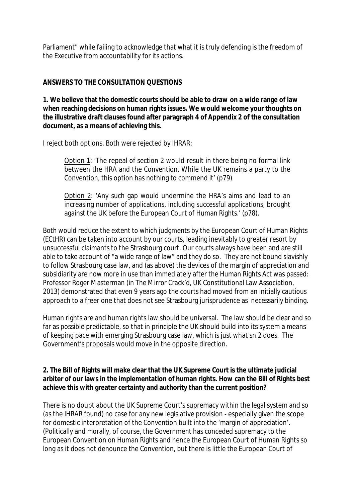Parliament" while failing to acknowledge that what it is truly defending is the freedom of the Executive from accountability for its actions.

## **ANSWERS TO THE CONSULTATION QUESTIONS**

**1. We believe that the domestic courts should be able to draw on a wide range of law when reaching decisions on human rights issues. We would welcome your thoughts on the illustrative draft clauses found after paragraph 4 of Appendix 2 of the consultation document, as a means of achieving this.**

I reject both options. Both were rejected by IHRAR:

Option 1: 'The repeal of section 2 would result in there being no formal link between the HRA and the Convention. While the UK remains a party to the Convention, this option has nothing to commend it' (p79)

Option 2: 'Any such gap would undermine the HRA's aims and lead to an increasing number of applications, including successful applications, brought against the UK before the European Court of Human Rights.' (p78).

Both would reduce the extent to which judgments by the European Court of Human Rights (ECtHR) can be taken into account by our courts, leading inevitably to greater resort by unsuccessful claimants to the Strasbourg court. Our courts always have been and are still able to take account of "a wide range of law" and they do so. They are not bound slavishly to follow Strasbourg case law, and (as above) the devices of the margin of appreciation and subsidiarity are now more in use than immediately after the Human Rights Act was passed: Professor Roger Masterman (in *The Mirror Crack'd*, UK Constitutional Law Association, 2013) demonstrated that even 9 years ago the courts had moved from an initially cautious approach to a freer one that does not see Strasbourg jurisprudence as necessarily binding.

Human rights are and human rights law should be universal. The law should be clear and so far as possible predictable, so that in principle the UK should build into its system a means of keeping pace with emerging Strasbourg case law, which is just what sn.2 does. The Government's proposals would move in the opposite direction.

**2. The Bill of Rights will make clear that the UK Supreme Court is the ultimate judicial arbiter of our laws in the implementation of human rights. How can the Bill of Rights best achieve this with greater certainty and authority than the current position?**

There is no doubt about the UK Supreme Court's supremacy within the legal system and so (as the IHRAR found) no case for any new legislative provision - especially given the scope for domestic interpretation of the Convention built into the 'margin of appreciation'. (Politically and morally, of course, the Government has conceded supremacy to the European Convention on Human Rights and hence the European Court of Human Rights so long as it does not denounce the Convention, but there is little the European Court of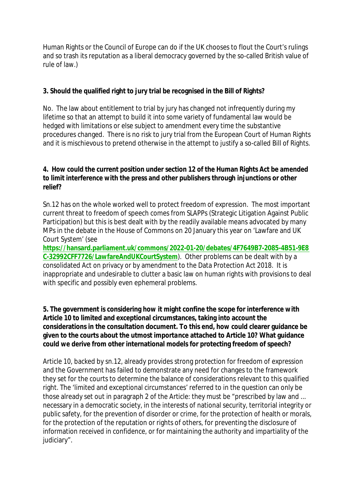Human Rights or the Council of Europe can do if the UK chooses to flout the Court's rulings and so trash its reputation as a liberal democracy governed by the so-called British value of rule of law.)

**3. Should the qualified right to jury trial be recognised in the Bill of Rights?**

No. The law about entitlement to trial by jury has changed not infrequently during my lifetime so that an attempt to build it into some variety of fundamental law would be hedged with limitations or else subject to amendment every time the substantive procedures changed. There is no risk to jury trial from the European Court of Human Rights and it is mischievous to pretend otherwise in the attempt to justify a so-called Bill of Rights.

**4. How could the current position under section 12 of the Human Rights Act be amended to limit interference with the press and other publishers through injunctions or other relief?**

Sn.12 has on the whole worked well to protect freedom of expression. The most important current threat to freedom of speech comes from SLAPPs (Strategic Litigation Against Public Participation) but this is best dealt with by the readily available means advocated by many MPs in the debate in the House of Commons on 20 January this year on 'Lawfare and UK Court System' (see

**[https://hansard.parliament.uk/commons/2022-01-20/debates/4F7649B7-2085-4B51-9E8](https://hansard.parliament.uk/commons/2022-01-20/debates/4F7649B7-2085-4B51-9E8C-32992CFF7726/LawfareAndUKCourtSystem) [C-32992CFF7726/LawfareAndUKCourtSystem](https://hansard.parliament.uk/commons/2022-01-20/debates/4F7649B7-2085-4B51-9E8C-32992CFF7726/LawfareAndUKCourtSystem)**). Other problems can be dealt with by a consolidated Act on privacy or by amendment to the Data Protection Act 2018. It is inappropriate and undesirable to clutter a basic law on human rights with provisions to deal with specific and possibly even ephemeral problems.

**5. The government is considering how it might confine the scope for interference with Article 10 to limited and exceptional circumstances, taking into account the considerations in the consultation document. To this end, how could clearer guidance be given to the courts about the utmost importance attached to Article 10? What guidance could we derive from other international models for protecting freedom of speech?**

Article 10, backed by sn.12, already provides strong protection for freedom of expression and the Government has failed to demonstrate any need for changes to the framework they set for the courts to determine the balance of considerations relevant to this qualified right. The 'limited and exceptional circumstances' referred to in the question can only be those already set out in paragraph 2 of the Article: they must be "prescribed by law and ... necessary in a democratic society, in the interests of national security, territorial integrity or public safety, for the prevention of disorder or crime, for the protection of health or morals, for the protection of the reputation or rights of others, for preventing the disclosure of information received in confidence, or for maintaining the authority and impartiality of the judiciary".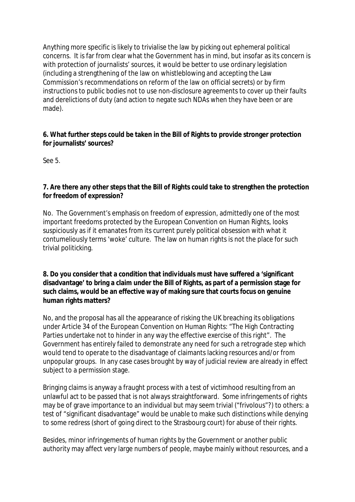Anything more specific is likely to trivialise the law by picking out ephemeral political concerns. It is far from clear what the Government has in mind, but insofar as its concern is with protection of journalists' sources, it would be better to use ordinary legislation (including a strengthening of the law on whistleblowing and accepting the Law Commission's recommendations on reform of the law on official secrets) or by firm instructions to public bodies not to use non-disclosure agreements to cover up their faults and derelictions of duty (and action to negate such NDAs when they have been or are made).

**6. What further steps could be taken in the Bill of Rights to provide stronger protection for journalists' sources?**

See 5.

**7. Are there any other steps that the Bill of Rights could take to strengthen the protection for freedom of expression?**

No. The Government's emphasis on freedom of expression, admittedly one of the most important freedoms protected by the European Convention on Human Rights, looks suspiciously as if it emanates from its current purely political obsession with what it contumeliously terms 'woke' culture. The law on human rights is not the place for such trivial politicking.

**8. Do you consider that a condition that individuals must have suffered a 'significant disadvantage' to bring a claim under the Bill of Rights, as part of a permission stage for such claims, would be an effective way of making sure that courts focus on genuine human rights matters?**

No, and the proposal has all the appearance of risking the UK breaching its obligations under Article 34 of the European Convention on Human Rights: "The High Contracting Parties undertake not to hinder in any way the effective exercise of this right". The Government has entirely failed to demonstrate any need for such a retrograde step which would tend to operate to the disadvantage of claimants lacking resources and/or from unpopular groups. In any case cases brought by way of judicial review are already in effect subject to a permission stage.

Bringing claims is anyway a fraught process with a test of victimhood resulting from an unlawful act to be passed that is not always straightforward. Some infringements of rights may be of grave importance to an individual but may seem trivial ("frivolous"?) to others: a test of "significant disadvantage" would be unable to make such distinctions while denying to some redress (short of going direct to the Strasbourg court) for abuse of their rights.

Besides, minor infringements of human rights by the Government or another public authority may affect very large numbers of people, maybe mainly without resources, and a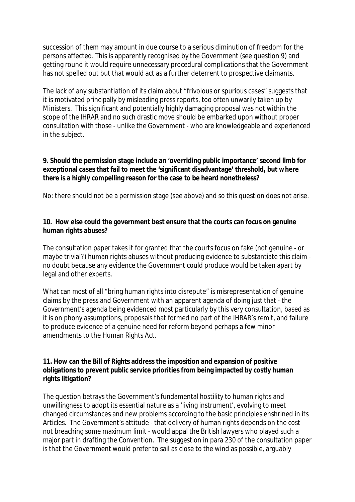succession of them may amount in due course to a serious diminution of freedom for the persons affected. This is apparently recognised by the Government (see question 9) and getting round it would require unnecessary procedural complications that the Government has not spelled out but that would act as a further deterrent to prospective claimants.

The lack of any substantiation of its claim about "frivolous or spurious cases" suggests that it is motivated principally by misleading press reports, too often unwarily taken up by Ministers. This significant and potentially highly damaging proposal was not within the scope of the IHRAR and no such drastic move should be embarked upon without proper consultation with those - unlike the Government - who are knowledgeable and experienced in the subject.

**9. Should the permission stage include an 'overriding public importance' second limb for exceptional cases that fail to meet the 'significant disadvantage' threshold, but where there is a highly compelling reason for the case to be heard nonetheless?**

No: there should not be a permission stage (see above) and so this question does not arise.

**10. How else could the government best ensure that the courts can focus on genuine human rights abuses?**

The consultation paper takes it for granted that the courts focus on fake (not genuine - or maybe trivial?) human rights abuses without producing evidence to substantiate this claim no doubt because any evidence the Government could produce would be taken apart by legal and other experts.

What can most of all "bring human rights into disrepute" is misrepresentation of genuine claims by the press and Government with an apparent agenda of doing just that - the Government's agenda being evidenced most particularly by this very consultation, based as it is on phony assumptions, proposals that formed no part of the IHRAR's remit, and failure to produce evidence of a genuine need for reform beyond perhaps a few minor amendments to the Human Rights Act.

**11. How can the Bill of Rights address the imposition and expansion of positive obligations to prevent public service priorities from being impacted by costly human rights litigation?**

The question betrays the Government's fundamental hostility to human rights and unwillingness to adopt its essential nature as a 'living instrument', evolving to meet changed circumstances and new problems according to the basic principles enshrined in its Articles. The Government's attitude - that delivery of human rights depends on the cost not breaching some maximum limit - would appal the British lawyers who played such a major part in drafting the Convention. The suggestion in para 230 of the consultation paper is that the Government would prefer to sail as close to the wind as possible, arguably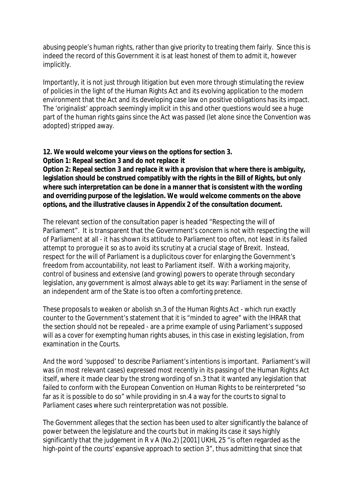abusing people's human rights, rather than give priority to treating them fairly. Since this is indeed the record of this Government it is at least honest of them to admit it, however implicitly.

Importantly, it is not just through litigation but even more through stimulating the review of policies in the light of the Human Rights Act and its evolving application to the modern environment that the Act and its developing case law on positive obligations has its impact. The 'originalist' approach seemingly implicit in this and other questions would see a huge part of the human rights gains since the Act was passed (let alone since the Convention was adopted) stripped away.

**12. We would welcome your views on the options for section 3.**

**Option 1: Repeal section 3 and do not replace it**

**Option 2: Repeal section 3 and replace it with a provision that where there is ambiguity, legislation should be construed compatibly with the rights in the Bill of Rights, but only where such interpretation can be done in a manner that is consistent with the wording and overriding purpose of the legislation. We would welcome comments on the above options, and the illustrative clauses in Appendix 2 of the consultation document.**

The relevant section of the consultation paper is headed "Respecting the will of Parliament". It is transparent that the Government's concern is not with respecting the will of Parliament at all - it has shown its attitude to Parliament too often, not least in its failed attempt to prorogue it so as to avoid its scrutiny at a crucial stage of Brexit. Instead, respect for the will of Parliament is a duplicitous cover for enlarging the Government's freedom from accountability, not least to Parliament itself. With a working majority, control of business and extensive (and growing) powers to operate through secondary legislation, any government is almost always able to get its way: Parliament in the sense of an independent arm of the State is too often a comforting pretence.

These proposals to weaken or abolish sn.3 of the Human Rights Act - which run exactly counter to the Government's statement that it is "minded to agree" with the IHRAR that the section should not be repealed - are a prime example of using Parliament's supposed will as a cover for exempting human rights abuses, in this case in existing legislation, from examination in the Courts.

And the word 'supposed' to describe Parliament's intentions is important. Parliament's will was (in most relevant cases) expressed most recently in its passing of the Human Rights Act itself, where it made clear by the strong wording of sn.3 that it wanted any legislation that failed to conform with the European Convention on Human Rights to be reinterpreted "so far as it is possible to do so" while providing in sn.4 a way for the courts to signal to Parliament cases where such reinterpretation was not possible.

The Government alleges that the section has been used to alter significantly the balance of power between the legislature and the courts but in making its case it says highly significantly that the judgement in R v A (No.2) [2001] UKHL 25 "is often regarded as the high-point of the courts' expansive approach to section 3", thus admitting that since that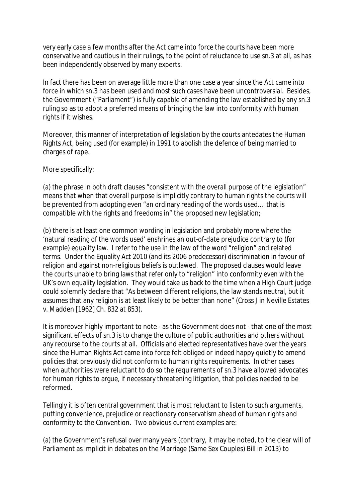very early case a few months after the Act came into force the courts have been more conservative and cautious in their rulings, to the point of reluctance to use sn.3 at all, as has been independently observed by many experts.

In fact there has been on average little more than one case a year since the Act came into force in which sn.3 has been used and most such cases have been uncontroversial. Besides, the Government ("Parliament") is fully capable of amending the law established by any sn.3 ruling so as to adopt a preferred means of bringing the law into conformity with human rights if it wishes.

Moreover, this manner of interpretation of legislation by the courts antedates the Human Rights Act, being used (for example) in 1991 to abolish the defence of being married to charges of rape.

More specifically:

(a) the phrase in both draft clauses "consistent with the overall purpose of the legislation" means that when that overall purpose is implicitly contrary to human rights the courts will be prevented from adopting even "an ordinary reading of the words used... that is compatible with the rights and freedoms in" the proposed new legislation;

(b) there is at least one common wording in legislation and probably more where the 'natural reading of the words used' enshrines an out-of-date prejudice contrary to (for example) equality law. I refer to the use in the law of the word "religion" and related terms. Under the Equality Act 2010 (and its 2006 predecessor) discrimination in favour of religion and against non-religious beliefs is outlawed. The proposed clauses would leave the courts unable to bring laws that refer only to "religion" into conformity even with the UK's own equality legislation. They would take us back to the time when a High Court judge could solemnly declare that "As between different religions, the law stands neutral, but it assumes that any religion is at least likely to be better than none" (Cross J in Neville Estates v. Madden [1962] Ch. 832 at 853).

It is moreover highly important to note - as the Government does not - that one of the most significant effects of sn.3 is to change the culture of public authorities and others without any recourse to the courts at all. Officials and elected representatives have over the years since the Human Rights Act came into force felt obliged or indeed happy quietly to amend policies that previously did not conform to human rights requirements. In other cases when authorities were reluctant to do so the requirements of sn.3 have allowed advocates for human rights to argue, if necessary threatening litigation, that policies needed to be reformed.

Tellingly it is often central government that is most reluctant to listen to such arguments, putting convenience, prejudice or reactionary conservatism ahead of human rights and conformity to the Convention. Two obvious current examples are:

(a) the Government's refusal over many years (contrary, it may be noted, to the clear will of Parliament as implicit in debates on the Marriage (Same Sex Couples) Bill in 2013) to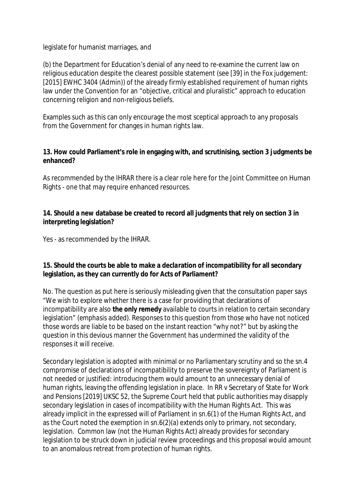legislate for humanist marriages, and

(b) the Department for Education's denial of any need to re-examine the current law on religious education despite the clearest possible statement (see [39] in the Fox judgement: [2015] EWHC 3404 (Admin)) of the already firmly established requirement of human rights law under the Convention for an "objective, critical and pluralistic" approach to education concerning religion and non-religious beliefs.

Examples such as this can only encourage the most sceptical approach to any proposals from the Government for changes in human rights law.

**13. How could Parliament's role in engaging with, and scrutinising, section 3 judgments be enhanced?**

As recommended by the IHRAR there is a clear role here for the Joint Committee on Human Rights - one that may require enhanced resources.

**14. Should a new database be created to record all judgments that rely on section 3 in interpreting legislation?**

Yes - as recommended by the IHRAR.

**15. Should the courts be able to make a declaration of incompatibility for all secondary legislation, as they can currently do for Acts of Parliament?**

No. The question as put here is seriously misleading given that the consultation paper says "We wish to explore whether there is a case for providing that declarations of incompatibility are also **the only remedy** available to courts in relation to certain secondary legislation" *(emphasis added).* Responses to this question from those who have not noticed those words are liable to be based on the instant reaction "why not?" but by asking the question in this devious manner the Government has undermined the validity of the responses it will receive.

Secondary legislation is adopted with minimal or no Parliamentary scrutiny and so the sn.4 compromise of declarations of incompatibility to preserve the sovereignty of Parliament is not needed or justified: introducing them would amount to an unnecessary denial of human rights, leaving the offending legislation in place. In RR v Secretary of State for Work and Pensions [2019] UKSC 52, the Supreme Court held that public authorities may disapply secondary legislation in cases of incompatibility with the Human Rights Act. This was already implicit in the expressed will of Parliament in sn.6(1) of the Human Rights Act, and as the Court noted the exemption in sn.6(2)(a) extends only to primary, not secondary, legislation. Common law (not the Human Rights Act) already provides for secondary legislation to be struck down in judicial review proceedings and this proposal would amount to an anomalous retreat from protection of human rights.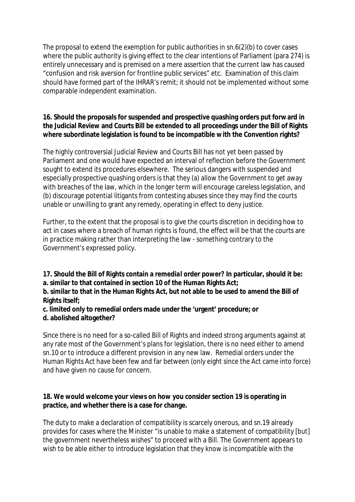The proposal to extend the exemption for public authorities in sn.6(2)(b) to cover cases where the public authority is giving effect to the clear intentions of Parliament (para 274) is entirely unnecessary and is premised on a mere assertion that the current law has caused "confusion and risk aversion for frontline public services" etc. Examination of this claim should have formed part of the IHRAR's remit; it should not be implemented without some comparable independent examination.

**16. Should the proposals for suspended and prospective quashing orders put forw ard in the Judicial Review and Courts Bill be extended to all proceedings under the Bill of Rights where subordinate legislation is found to be incompatible with the Convention rights?**

The highly controversial Judicial Review and Courts Bill has not yet been passed by Parliament and one would have expected an interval of reflection before the Government sought to extend its procedures elsewhere. The serious dangers with suspended and especially prospective quashing orders is that they (a) allow the Government to get away with breaches of the law, which in the longer term will encourage careless legislation, and (b) discourage potential litigants from contesting abuses since they may find the courts unable or unwilling to grant any remedy, operating in effect to deny justice.

Further, to the extent that the proposal is to give the courts discretion in deciding how to act in cases where a breach of human rights is found, the effect will be that the courts are in practice making rather than interpreting the law - something contrary to the Government's expressed policy.

**17. Should the Bill of Rights contain a remedial order power? In particular, should it be: a. similar to that contained in section 10 of the Human Rights Act;** 

**b. similar to that in the Human Rights Act, but not able to be used to amend the Bill of Rights itself;** 

**c. limited only to remedial orders made under the 'urgent' procedure; or d. abolished altogether?**

Since there is no need for a so-called Bill of Rights and indeed strong arguments against at any rate most of the Government's plans for legislation, there is no need either to amend sn.10 or to introduce a different provision in any new law. Remedial orders under the Human Rights Act have been few and far between (only eight since the Act came into force) and have given no cause for concern.

**18. We would welcome your views on how you consider section 19 is operating in practice, and whether there is a case for change.**

The duty to make a declaration of compatibility is scarcely onerous, and sn.19 already provides for cases where the Minister "is unable to make a statement of compatibility [but] the government nevertheless wishes" to proceed with a Bill. The Government appears to wish to be able either to introduce legislation that they know is incompatible with the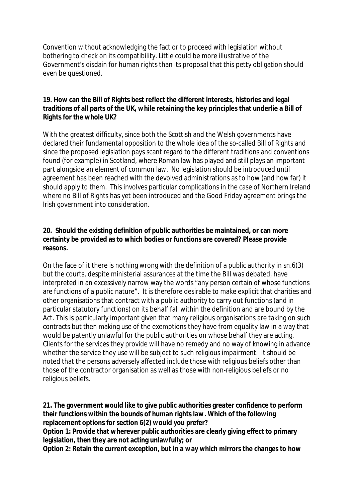Convention without acknowledging the fact or to proceed with legislation without bothering to check on its compatibility. Little could be more illustrative of the Government's disdain for human rights than its proposal that this petty obligation should even be questioned.

**19. How can the Bill of Rights best reflect the different interests, histories and legal traditions of all parts of the UK, while retaining the key principles that underlie a Bill of Rights for the whole UK?**

With the greatest difficulty, since both the Scottish and the Welsh governments have declared their fundamental opposition to the whole idea of the so-called Bill of Rights and since the proposed legislation pays scant regard to the different traditions and conventions found (for example) in Scotland, where Roman law has played and still plays an important part alongside an element of common law. No legislation should be introduced until agreement has been reached with the devolved administrations as to how (and how far) it should apply to them. This involves particular complications in the case of Northern Ireland where no Bill of Rights has yet been introduced and the Good Friday agreement brings the Irish government into consideration.

**20. Should the existing definition of public authorities be maintained, or can more certainty be provided as to which bodies or functions are covered? Please provide reasons.**

On the face of it there is nothing wrong with the definition of a public authority in sn.6(3) but the courts, despite ministerial assurances at the time the Bill was debated, have interpreted in an excessively narrow way the words "any person certain of whose functions are functions of a public nature". It is therefore desirable to make explicit that charities and other organisations that contract with a public authority to carry out functions (and in particular statutory functions) on its behalf fall within the definition and are bound by the Act. This is particularly important given that many religious organisations are taking on such contracts but then making use of the exemptions they have from equality law in a way that would be patently unlawful for the public authorities on whose behalf they are acting. Clients for the services they provide will have no remedy and no way of knowing in advance whether the service they use will be subject to such religious impairment. It should be noted that the persons adversely affected include those with religious beliefs other than those of the contractor organisation as well as those with non-religious beliefs or no religious beliefs.

**21. The government would like to give public authorities greater confidence to perform their functions within the bounds of human rights law. Which of the following replacement options for section 6(2) would you prefer?**

**Option 1: Provide that wherever public authorities are clearly giving effect to primary legislation, then they are not acting unlawfully; or** 

**Option 2: Retain the current exception, but in a way which mirrors the changes to how**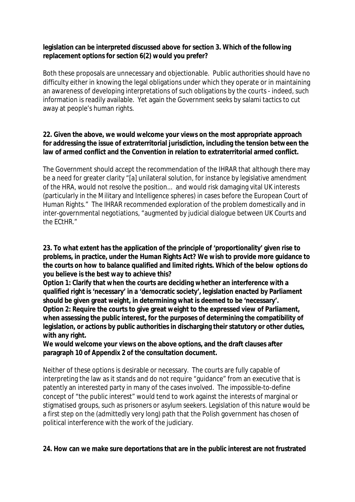**legislation can be interpreted discussed above for section 3. Which of the following replacement options for section 6(2) would you prefer?**

Both these proposals are unnecessary and objectionable. Public authorities should have no difficulty either in knowing the legal obligations under which they operate or in maintaining an awareness of developing interpretations of such obligations by the courts - indeed, such information is readily available. Yet again the Government seeks by salami tactics to cut away at people's human rights.

**22. Given the above, we would welcome your views on the most appropriate approach for addressing the issue of extraterritorial jurisdiction, including the tension between the law of armed conflict and the Convention in relation to extraterritorial armed conflict.**

The Government should accept the recommendation of the IHRAR that although there may be a need for greater clarity "[a] unilateral solution, for instance by legislative amendment of the HRA, would not resolve the position... and would risk damaging vital UK interests (particularly in the Military and Intelligence spheres) in cases before the European Court of Human Rights." The IHRAR recommended exploration of the problem domestically and in inter-governmental negotiations, "augmented by judicial dialogue between UK Courts and the ECtHR."

**23. To what extent has the application of the principle of 'proportionality' given rise to problems, in practice, under the Human Rights Act? We wish to provide more guidance to the courts on how to balance qualified and limited rights. Which of the below options do you believe is the best way to achieve this?** 

**Option 1: Clarify that when the courts are deciding whether an interference with a qualified right is 'necessary' in a 'democratic society', legislation enacted by Parliament should be given great weight, in determining what is deemed to be 'necessary'. Option 2: Require the courts to give great weight to the expressed view of Parliament, when assessing the public interest, for the purposes of determining the compatibility of legislation, or actions by public authorities in discharging their statutory or other duties, with any right.**

**We would welcome your views on the above options, and the draft clauses after paragraph 10 of Appendix 2 of the consultation document.**

Neither of these options is desirable or necessary. The courts are fully capable of interpreting the law as it stands and do not require "guidance" from an executive that is patently an interested party in many of the cases involved. The impossible-to-define concept of "the public interest" would tend to work against the interests of marginal or stigmatised groups, such as prisoners or asylum seekers. Legislation of this nature would be a first step on the (admittedly very long) path that the Polish government has chosen of political interference with the work of the judiciary.

**24. How can we make sure deportations that are in the public interest are not frustrated**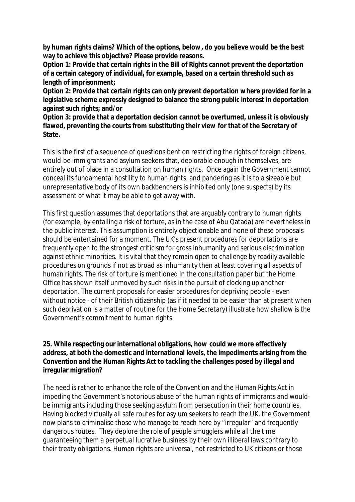**by human rights claims? Which of the options, below, do you believe would be the best way to achieve this objective? Please provide reasons.**

**Option 1: Provide that certain rights in the Bill of Rights cannot prevent the deportation of a certain category of individual, for example, based on a certain threshold such as length of imprisonment;**

**Option 2: Provide that certain rights can only prevent deportation where provided for in a legislative scheme expressly designed to balance the strong public interest in deportation against such rights; and/or** 

**Option 3: provide that a deportation decision cannot be overturned, unless it is obviously flawed, preventing the courts from substituting their view for that of the Secretary of State.**

This is the first of a sequence of questions bent on restricting the rights of foreign citizens, would-be immigrants and asylum seekers that, deplorable enough in themselves, are entirely out of place in a consultation on human rights. Once again the Government cannot conceal its fundamental hostility to human rights, and pandering as it is to a sizeable but unrepresentative body of its own backbenchers is inhibited only (one suspects) by its assessment of what it may be able to get away with.

This first question assumes that deportations that are arguably contrary to human rights (for example, by entailing a risk of torture, as in the case of Abu Qatada) are nevertheless in the public interest. This assumption is entirely objectionable and none of these proposals should be entertained for a moment. The UK's present procedures for deportations are frequently open to the strongest criticism for gross inhumanity and serious discrimination against ethnic minorities. It is vital that they remain open to challenge by readily available procedures on grounds if not as broad as inhumanity then at least covering all aspects of human rights. The risk of torture is mentioned in the consultation paper but the Home Office has shown itself unmoved by such risks in the pursuit of clocking up another deportation. The current proposals for easier procedures for depriving people - even without notice - of their British citizenship (as if it needed to be easier than at present when such deprivation is a matter of routine for the Home Secretary) illustrate how shallow is the Government's commitment to human rights.

**25. While respecting our international obligations, how could we more effectively address, at both the domestic and international levels, the impediments arising from the Convention and the Human Rights Act to tackling the challenges posed by illegal and irregular migration?**

The need is rather to enhance the role of the Convention and the Human Rights Act in impeding the Government's notorious abuse of the human rights of immigrants and wouldbe immigrants including those seeking asylum from persecution in their home countries. Having blocked virtually all safe routes for asylum seekers to reach the UK, the Government now plans to criminalise those who manage to reach here by "irregular" and frequently dangerous routes. They deplore the role of people smugglers while all the time guaranteeing them a perpetual lucrative business by their own illiberal laws contrary to their treaty obligations. Human rights are universal, not restricted to UK citizens or those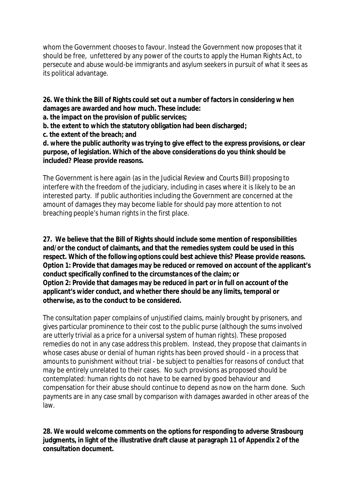whom the Government chooses to favour. Instead the Government now proposes that it should be free, unfettered by any power of the courts to apply the Human Rights Act, to persecute and abuse would-be immigrants and asylum seekers in pursuit of what it sees as its political advantage.

**26. We think the Bill of Rights could set out a number of factors in considering w hen damages are awarded and how much. These include:** 

**a. the impact on the provision of public services;** 

**b. the extent to which the statutory obligation had been discharged;** 

**c. the extent of the breach; and** 

**d. where the public authority was trying to give effect to the express provisions, or clear purpose, of legislation. Which of the above considerations do you think should be included? Please provide reasons.**

The Government is here again (as in the Judicial Review and Courts Bill) proposing to interfere with the freedom of the judiciary, including in cases where it is likely to be an interested party. If public authorities including the Government are concerned at the amount of damages they may become liable for should pay more attention to not breaching people's human rights in the first place.

**27. We believe that the Bill of Rights should include some mention of responsibilities and/or the conduct of claimants, and that the remedies system could be used in this respect. Which of the following options could best achieve this? Please provide reasons. Option 1: Provide that damages may be reduced or removed on account of the applicant's conduct specifically confined to the circumstances of the claim; or Option 2: Provide that damages may be reduced in part or in full on account of the applicant's wider conduct, and whether there should be any limits, temporal or otherwise, as to the conduct to be considered.**

The consultation paper complains of unjustified claims, mainly brought by prisoners, and gives particular prominence to their cost to the public purse (although the sums involved are utterly trivial as a price for a universal system of human rights). These proposed remedies do not in any case address this problem. Instead, they propose that claimants in whose cases abuse or denial of human rights has been proved should - in a process that amounts to punishment without trial - be subject to penalties for reasons of conduct that may be entirely unrelated to their cases. No such provisions as proposed should be contemplated: human rights do not have to be earned by good behaviour and compensation for their abuse should continue to depend as now on the harm done. Such payments are in any case small by comparison with damages awarded in other areas of the law.

**28. We would welcome comments on the options for responding to adverse Strasbourg judgments, in light of the illustrative draft clause at paragraph 11 of Appendix 2 of the consultation document.**